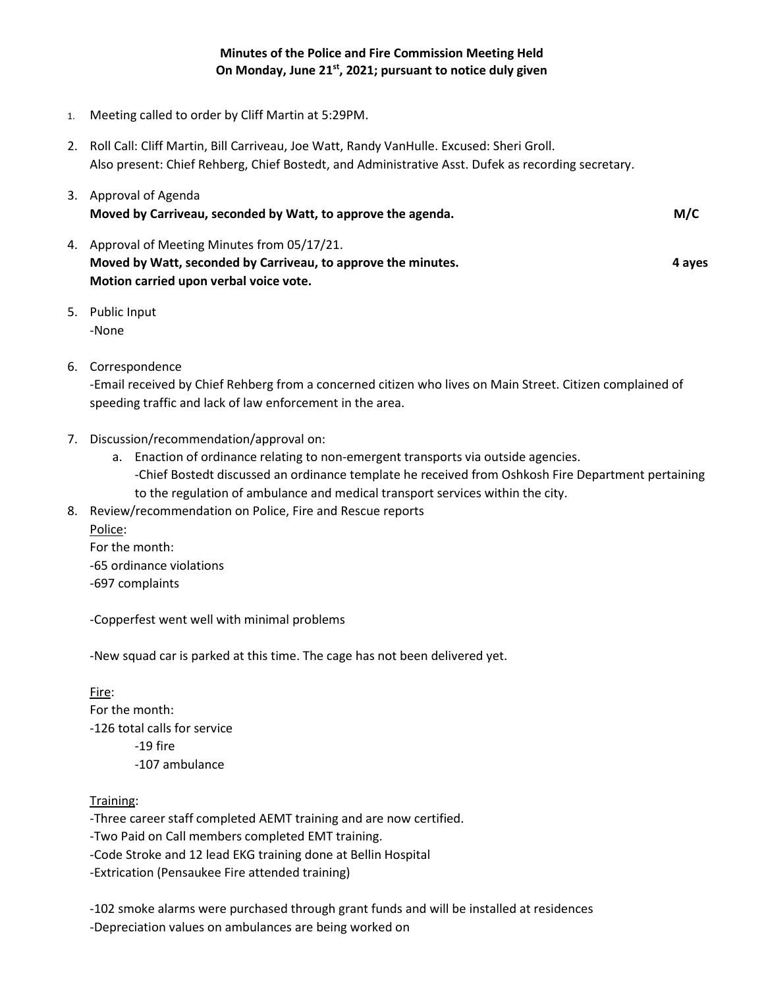## **Minutes of the Police and Fire Commission Meeting Held On Monday, June 21st, 2021; pursuant to notice duly given**

- 1. Meeting called to order by Cliff Martin at 5:29PM.
- 2. Roll Call: Cliff Martin, Bill Carriveau, Joe Watt, Randy VanHulle. Excused: Sheri Groll. Also present: Chief Rehberg, Chief Bostedt, and Administrative Asst. Dufek as recording secretary.

| 3. Approval of Agenda<br>Moved by Carriveau, seconded by Watt, to approve the agenda.                                                                    | M/C    |
|----------------------------------------------------------------------------------------------------------------------------------------------------------|--------|
| 4. Approval of Meeting Minutes from 05/17/21.<br>Moved by Watt, seconded by Carriveau, to approve the minutes.<br>Motion carried upon verbal voice vote. | 4 aves |

- 5. Public Input -None
- 6. Correspondence

-Email received by Chief Rehberg from a concerned citizen who lives on Main Street. Citizen complained of speeding traffic and lack of law enforcement in the area.

- 7. Discussion/recommendation/approval on:
	- a. Enaction of ordinance relating to non-emergent transports via outside agencies. -Chief Bostedt discussed an ordinance template he received from Oshkosh Fire Department pertaining to the regulation of ambulance and medical transport services within the city.
- 8. Review/recommendation on Police, Fire and Rescue reports Police: For the month:
	- -65 ordinance violations -697 complaints

-Copperfest went well with minimal problems

-New squad car is parked at this time. The cage has not been delivered yet.

## Fire:

For the month: -126 total calls for service -19 fire -107 ambulance

## Training:

-Three career staff completed AEMT training and are now certified.

-Two Paid on Call members completed EMT training.

-Code Stroke and 12 lead EKG training done at Bellin Hospital

-Extrication (Pensaukee Fire attended training)

-102 smoke alarms were purchased through grant funds and will be installed at residences -Depreciation values on ambulances are being worked on